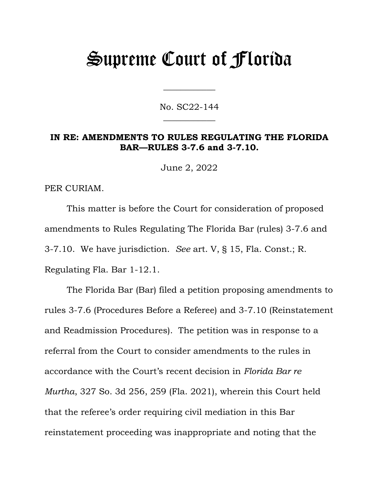# Supreme Court of Florida

No. SC22-144  $\overline{\phantom{a}}$ 

 $\overline{\phantom{a}}$ 

#### **IN RE: AMENDMENTS TO RULES REGULATING THE FLORIDA BAR—RULES 3-7.6 and 3-7.10.**

June 2, 2022

PER CURIAM.

This matter is before the Court for consideration of proposed amendments to Rules Regulating The Florida Bar (rules) 3-7.6 and 3-7.10. We have jurisdiction. *See* art. V, § 15, Fla. Const.; R. Regulating Fla. Bar 1-12.1.

The Florida Bar (Bar) filed a petition proposing amendments to rules 3-7.6 (Procedures Before a Referee) and 3-7.10 (Reinstatement and Readmission Procedures). The petition was in response to a referral from the Court to consider amendments to the rules in accordance with the Court's recent decision in *Florida Bar re Murtha*, 327 So. 3d 256, 259 (Fla. 2021), wherein this Court held that the referee's order requiring civil mediation in this Bar reinstatement proceeding was inappropriate and noting that the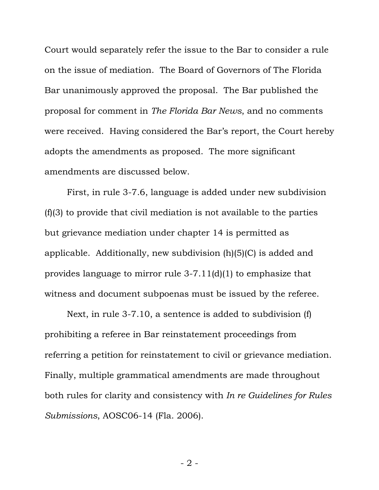Court would separately refer the issue to the Bar to consider a rule on the issue of mediation. The Board of Governors of The Florida Bar unanimously approved the proposal. The Bar published the proposal for comment in *The Florida Bar News*, and no comments were received. Having considered the Bar's report, the Court hereby adopts the amendments as proposed. The more significant amendments are discussed below.

First, in rule 3-7.6, language is added under new subdivision (f)(3) to provide that civil mediation is not available to the parties but grievance mediation under chapter 14 is permitted as applicable. Additionally, new subdivision (h)(5)(C) is added and provides language to mirror rule 3-7.11(d)(1) to emphasize that witness and document subpoenas must be issued by the referee.

Next, in rule 3-7.10, a sentence is added to subdivision (f) prohibiting a referee in Bar reinstatement proceedings from referring a petition for reinstatement to civil or grievance mediation. Finally, multiple grammatical amendments are made throughout both rules for clarity and consistency with *In re Guidelines for Rules Submissions*, AOSC06-14 (Fla. 2006).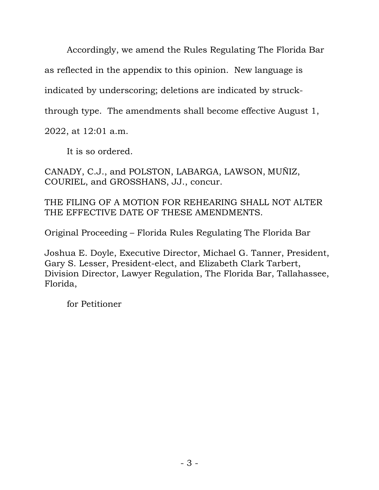Accordingly, we amend the Rules Regulating The Florida Bar

as reflected in the appendix to this opinion. New language is

indicated by underscoring; deletions are indicated by struck-

through type. The amendments shall become effective August 1,

2022, at 12:01 a.m.

It is so ordered.

CANADY, C.J., and POLSTON, LABARGA, LAWSON, MUÑIZ, COURIEL, and GROSSHANS, JJ., concur.

THE FILING OF A MOTION FOR REHEARING SHALL NOT ALTER THE EFFECTIVE DATE OF THESE AMENDMENTS.

Original Proceeding – Florida Rules Regulating The Florida Bar

Joshua E. Doyle, Executive Director, Michael G. Tanner, President, Gary S. Lesser, President-elect, and Elizabeth Clark Tarbert, Division Director, Lawyer Regulation, The Florida Bar, Tallahassee, Florida,

for Petitioner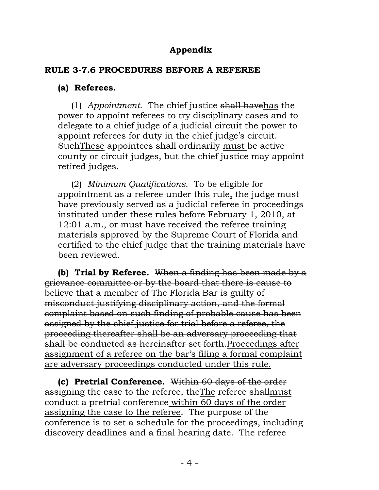## **Appendix**

#### **RULE 3-7.6 PROCEDURES BEFORE A REFEREE**

#### **(a) Referees.**

(1) *Appointment*. The chief justice shall havehas the power to appoint referees to try disciplinary cases and to delegate to a chief judge of a judicial circuit the power to appoint referees for duty in the chief judge's circuit. SuchThese appointees shall ordinarily must be active county or circuit judges, but the chief justice may appoint retired judges.

(2) *Minimum Qualifications*. To be eligible for appointment as a referee under this rule, the judge must have previously served as a judicial referee in proceedings instituted under these rules before February 1, 2010, at 12:01 a.m., or must have received the referee training materials approved by the Supreme Court of Florida and certified to the chief judge that the training materials have been reviewed.

**(b) Trial by Referee.** When a finding has been made by a grievance committee or by the board that there is cause to believe that a member of The Florida Bar is guilty of misconduct justifying disciplinary action, and the formal complaint based on such finding of probable cause has been assigned by the chief justice for trial before a referee, the proceeding thereafter shall be an adversary proceeding that shall be conducted as hereinafter set forth.Proceedings after assignment of a referee on the bar's filing a formal complaint are adversary proceedings conducted under this rule.

**(c) Pretrial Conference.** Within 60 days of the order assigning the case to the referee, theThe referee shallmust conduct a pretrial conference within 60 days of the order assigning the case to the referee. The purpose of the conference is to set a schedule for the proceedings, including discovery deadlines and a final hearing date. The referee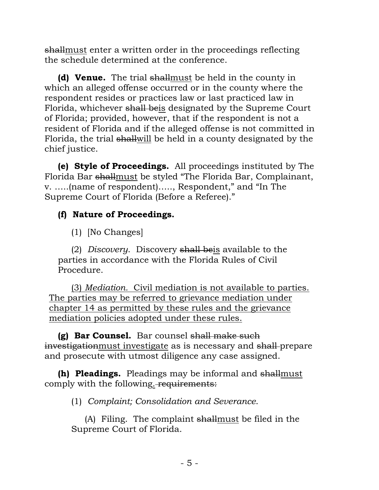shallmust enter a written order in the proceedings reflecting the schedule determined at the conference.

**(d) Venue.** The trial shallmust be held in the county in which an alleged offense occurred or in the county where the respondent resides or practices law or last practiced law in Florida, whichever shall beis designated by the Supreme Court of Florida; provided, however, that if the respondent is not a resident of Florida and if the alleged offense is not committed in Florida, the trial shallwill be held in a county designated by the chief justice.

**(e) Style of Proceedings.** All proceedings instituted by The Florida Bar shallmust be styled "The Florida Bar, Complainant, v. …..(name of respondent)….., Respondent," and "In The Supreme Court of Florida (Before a Referee)."

### **(f) Nature of Proceedings.**

(1) [No Changes]

(2) *Discovery*. Discovery shall beis available to the parties in accordance with the Florida Rules of Civil Procedure.

(3) *Mediation.* Civil mediation is not available to parties. The parties may be referred to grievance mediation under chapter 14 as permitted by these rules and the grievance mediation policies adopted under these rules.

**(g) Bar Counsel.** Bar counsel shall make such investigationmust investigate as is necessary and shall-prepare and prosecute with utmost diligence any case assigned.

**(h) Pleadings.** Pleadings may be informal and shallmust comply with the following. requirements:

(1) *Complaint; Consolidation and Severance*.

(A) Filing. The complaint shallmust be filed in the Supreme Court of Florida.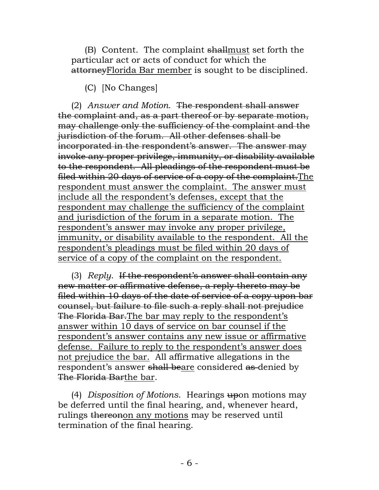(B) Content. The complaint shallmust set forth the particular act or acts of conduct for which the attorneyFlorida Bar member is sought to be disciplined.

(C) [No Changes]

(2) *Answer and Motion*. The respondent shall answer the complaint and, as a part thereof or by separate motion, may challenge only the sufficiency of the complaint and the jurisdiction of the forum. All other defenses shall be incorporated in the respondent's answer. The answer may invoke any proper privilege, immunity, or disability available to the respondent. All pleadings of the respondent must be filed within 20 days of service of a copy of the complaint.The respondent must answer the complaint. The answer must include all the respondent's defenses, except that the respondent may challenge the sufficiency of the complaint and jurisdiction of the forum in a separate motion. The respondent's answer may invoke any proper privilege, immunity, or disability available to the respondent. All the respondent's pleadings must be filed within 20 days of service of a copy of the complaint on the respondent.

(3) *Reply*. If the respondent's answer shall contain any new matter or affirmative defense, a reply thereto may be filed within 10 days of the date of service of a copy upon bar counsel, but failure to file such a reply shall not prejudice The Florida Bar.The bar may reply to the respondent's answer within 10 days of service on bar counsel if the respondent's answer contains any new issue or affirmative defense. Failure to reply to the respondent's answer does not prejudice the bar. All affirmative allegations in the respondent's answer shall beare considered as denied by The Florida Barthe bar.

(4) *Disposition of Motions*. Hearings upon motions may be deferred until the final hearing, and, whenever heard, rulings thereonon any motions may be reserved until termination of the final hearing.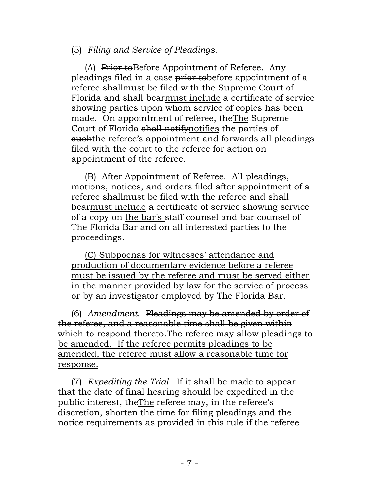(5) *Filing and Service of Pleadings*.

(A) Prior toBefore Appointment of Referee. Any pleadings filed in a case prior tobefore appointment of a referee shallmust be filed with the Supreme Court of Florida and shall bearmust include a certificate of service showing parties upon whom service of copies has been made. On appointment of referee, theThe Supreme Court of Florida shall notifynotifies the parties of such the referee's appointment and forwards all pleadings filed with the court to the referee for action on appointment of the referee.

(B) After Appointment of Referee. All pleadings, motions, notices, and orders filed after appointment of a referee shallmust be filed with the referee and shall bearmust include a certificate of service showing service of a copy on the bar's staff counsel and bar counsel of The Florida Bar and on all interested parties to the proceedings.

(C) Subpoenas for witnesses' attendance and production of documentary evidence before a referee must be issued by the referee and must be served either in the manner provided by law for the service of process or by an investigator employed by The Florida Bar.

(6) *Amendment*. Pleadings may be amended by order of the referee, and a reasonable time shall be given within which to respond thereto. The referee may allow pleadings to be amended. If the referee permits pleadings to be amended, the referee must allow a reasonable time for response.

(7) *Expediting the Trial*. If it shall be made to appear that the date of final hearing should be expedited in the public interest, theThe referee may, in the referee's discretion, shorten the time for filing pleadings and the notice requirements as provided in this rule if the referee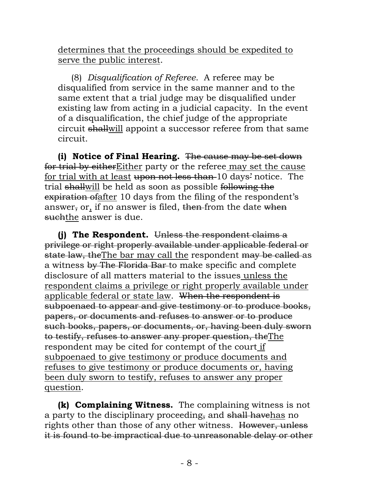determines that the proceedings should be expedited to serve the public interest.

(8) *Disqualification of Referee*. A referee may be disqualified from service in the same manner and to the same extent that a trial judge may be disqualified under existing law from acting in a judicial capacity. In the event of a disqualification, the chief judge of the appropriate circuit shallwill appoint a successor referee from that same circuit.

**(i) Notice of Final Hearing.** The cause may be set down for trial by eitherEither party or the referee may set the cause for trial with at least upon not less than 10 days' notice. The trial shallwill be held as soon as possible following the expiration ofafter 10 days from the filing of the respondent's answer, or, if no answer is filed, then from the date when such the answer is due.

**(j) The Respondent.** Unless the respondent claims a privilege or right properly available under applicable federal or state law, the The bar may call the respondent may be called as a witness by The Florida Bar to make specific and complete disclosure of all matters material to the issues unless the respondent claims a privilege or right properly available under applicable federal or state law. When the respondent is subpoenaed to appear and give testimony or to produce books, papers, or documents and refuses to answer or to produce such books, papers, or documents, or, having been duly sworn to testify, refuses to answer any proper question, theThe respondent may be cited for contempt of the court if subpoenaed to give testimony or produce documents and refuses to give testimony or produce documents or, having been duly sworn to testify, refuses to answer any proper question.

**(k) Complaining Witness.** The complaining witness is not a party to the disciplinary proceeding, and shall havehas no rights other than those of any other witness. However, unless it is found to be impractical due to unreasonable delay or other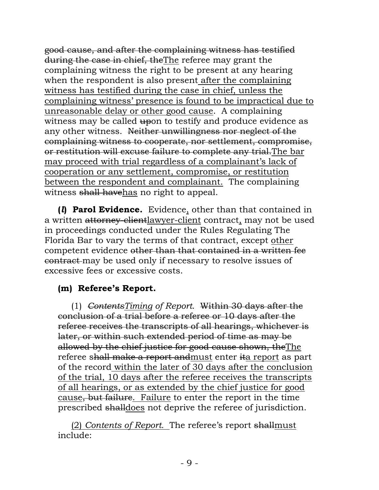good cause, and after the complaining witness has testified during the case in chief, theThe referee may grant the complaining witness the right to be present at any hearing when the respondent is also present after the complaining witness has testified during the case in chief, unless the complaining witness' presence is found to be impractical due to unreasonable delay or other good cause. A complaining witness may be called upon to testify and produce evidence as any other witness. Neither unwillingness nor neglect of the complaining witness to cooperate, nor settlement, compromise, or restitution will excuse failure to complete any trial.The bar may proceed with trial regardless of a complainant's lack of cooperation or any settlement, compromise, or restitution between the respondent and complainant. The complaining witness shall havehas no right to appeal.

**(***l***) Parol Evidence.** Evidence, other than that contained in a written attorney-clientlawyer-client contract, may not be used in proceedings conducted under the Rules Regulating The Florida Bar to vary the terms of that contract, except other competent evidence other than that contained in a written fee contract may be used only if necessary to resolve issues of excessive fees or excessive costs.

## **(m) Referee's Report.**

(1) *ContentsTiming of Report*. Within 30 days after the conclusion of a trial before a referee or 10 days after the referee receives the transcripts of all hearings, whichever is later, or within such extended period of time as may be allowed by the chief justice for good cause shown, theThe referee shall make a report andmust enter ita report as part of the record within the later of 30 days after the conclusion of the trial, 10 days after the referee receives the transcripts of all hearings, or as extended by the chief justice for good cause, but failure. Failure to enter the report in the time prescribed shalldoes not deprive the referee of jurisdiction.

(2) *Contents of Report.* The referee's report shallmust include: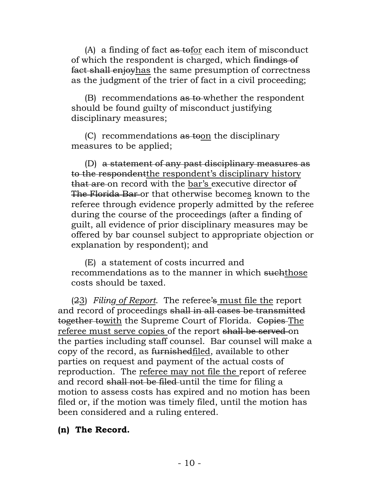(A) a finding of fact as tofor each item of misconduct of which the respondent is charged, which findings of fact shall enjoyhas the same presumption of correctness as the judgment of the trier of fact in a civil proceeding;

(B) recommendations as to whether the respondent should be found guilty of misconduct justifying disciplinary measures;

(C) recommendations  $\frac{a \cdot b}{b}$  the disciplinary measures to be applied;

(D) a statement of any past disciplinary measures as to the respondentthe respondent's disciplinary history that are on record with the bar's executive director of The Florida Bar or that otherwise becomes known to the referee through evidence properly admitted by the referee during the course of the proceedings (after a finding of guilt, all evidence of prior disciplinary measures may be offered by bar counsel subject to appropriate objection or explanation by respondent); and

(E) a statement of costs incurred and recommendations as to the manner in which suchthose costs should be taxed.

(23) *Filing of Report*. The referee's must file the report and record of proceedings shall in all cases be transmitted together towith the Supreme Court of Florida. Copies The referee must serve copies of the report shall be served on the parties including staff counsel. Bar counsel will make a copy of the record, as furnishedfiled, available to other parties on request and payment of the actual costs of reproduction. The referee may not file the report of referee and record shall not be filed until the time for filing a motion to assess costs has expired and no motion has been filed or, if the motion was timely filed, until the motion has been considered and a ruling entered.

#### **(n) The Record.**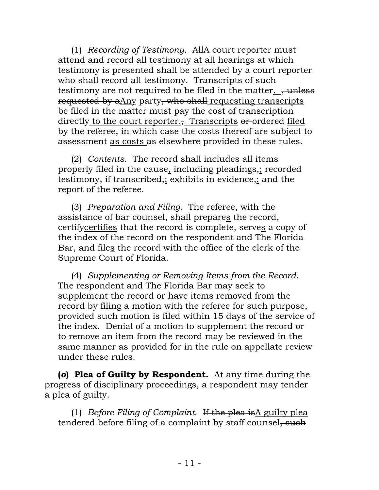(1) *Recording of Testimony*. AllA court reporter must attend and record all testimony at all hearings at which testimony is presented shall be attended by a court reporter who shall record all testimony. Transcripts of such testimony are not required to be filed in the matter. <del>, unless</del> requested by aAny party, who shall requesting transcripts be filed in the matter must pay the cost of transcription directly to the court reporter., Transcripts or ordered filed by the referee, in which case the costs thereof are subject to assessment as costs as elsewhere provided in these rules.

(2) *Contents*. The record shall includes all items properly filed in the cause, including pleadings, recorded testimony, if transcribed<sub>7</sub>; exhibits in evidence<sub>7</sub>; and the report of the referee.

(3) *Preparation and Filing*. The referee, with the assistance of bar counsel, shall prepares the record, certifycertifies that the record is complete, serves a copy of the index of the record on the respondent and The Florida Bar, and files the record with the office of the clerk of the Supreme Court of Florida.

(4) *Supplementing or Removing Items from the Record*. The respondent and The Florida Bar may seek to supplement the record or have items removed from the record by filing a motion with the referee for such purpose, provided such motion is filed within 15 days of the service of the index. Denial of a motion to supplement the record or to remove an item from the record may be reviewed in the same manner as provided for in the rule on appellate review under these rules.

**(***o***) Plea of Guilty by Respondent.** At any time during the progress of disciplinary proceedings, a respondent may tender a plea of guilty.

(1) *Before Filing of Complaint*. If the plea isA guilty plea tendered before filing of a complaint by staff counsel, such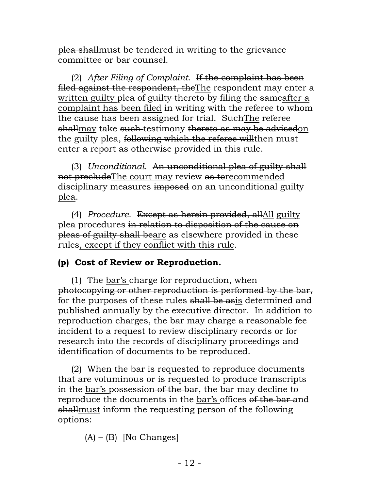plea shallmust be tendered in writing to the grievance committee or bar counsel.

(2) *After Filing of Complaint*. If the complaint has been filed against the respondent, theThe respondent may enter a written guilty plea of guilty thereto by filing the sameafter a complaint has been filed in writing with the referee to whom the cause has been assigned for trial. Such The referee shallmay take such testimony thereto as may be advisedon the guilty plea, following which the referee will then must enter a report as otherwise provided in this rule.

(3) *Unconditional*. An unconditional plea of guilty shall not precludeThe court may review as torecommended disciplinary measures imposed on an unconditional guilty plea.

(4) *Procedure*. Except as herein provided, allAll guilty plea procedures in relation to disposition of the cause on pleas of guilty shall beare as elsewhere provided in these rules, except if they conflict with this rule.

## **(p) Cost of Review or Reproduction.**

(1) The bar's charge for reproduction, when photocopying or other reproduction is performed by the bar, for the purposes of these rules shall be asis determined and published annually by the executive director. In addition to reproduction charges, the bar may charge a reasonable fee incident to a request to review disciplinary records or for research into the records of disciplinary proceedings and identification of documents to be reproduced.

(2) When the bar is requested to reproduce documents that are voluminous or is requested to produce transcripts in the bar's possession of the bar, the bar may decline to reproduce the documents in the bar's offices of the bar and shallmust inform the requesting person of the following options:

 $(A) - (B)$  [No Changes]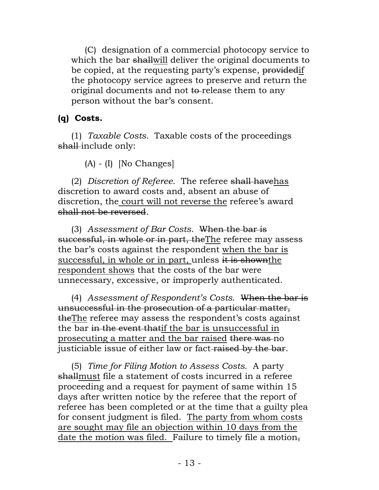(C) designation of a commercial photocopy service to which the bar shallwill deliver the original documents to be copied, at the requesting party's expense, providedif the photocopy service agrees to preserve and return the original documents and not to release them to any person without the bar's consent.

## **(q) Costs.**

(1) *Taxable Costs*. Taxable costs of the proceedings shall-include only:

(A) - (I) [No Changes]

(2) *Discretion of Referee*. The referee shall havehas discretion to award costs and, absent an abuse of discretion, the court will not reverse the referee's award shall not be reversed.

(3) *Assessment of Bar Costs*. When the bar is successful, in whole or in part, theThe referee may assess the bar's costs against the respondent when the bar is successful, in whole or in part, unless it is shown the respondent shows that the costs of the bar were unnecessary, excessive, or improperly authenticated.

(4) *Assessment of Respondent's Costs*. When the bar is unsuccessful in the prosecution of a particular matter, theThe referee may assess the respondent's costs against the bar in the event thatif the bar is unsuccessful in prosecuting a matter and the bar raised there was no justiciable issue of either law or fact raised by the bar.

(5) *Time for Filing Motion to Assess Costs*. A party shallmust file a statement of costs incurred in a referee proceeding and a request for payment of same within 15 days after written notice by the referee that the report of referee has been completed or at the time that a guilty plea for consent judgment is filed. The party from whom costs are sought may file an objection within 10 days from the date the motion was filed. Failure to timely file a motion,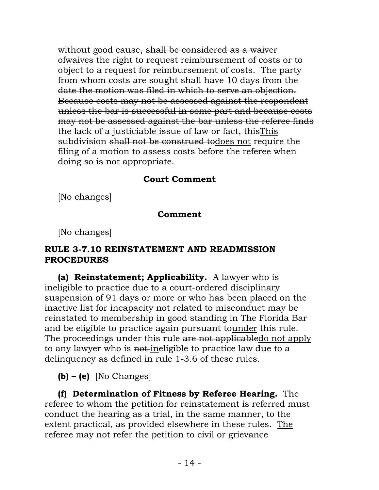without good cause, shall be considered as a waiver ofwaives the right to request reimbursement of costs or to object to a request for reimbursement of costs. The party from whom costs are sought shall have 10 days from the date the motion was filed in which to serve an objection. Because costs may not be assessed against the respondent unless the bar is successful in some part and because costs may not be assessed against the bar unless the referee finds the lack of a justiciable issue of law or fact, thisThis subdivision shall not be construed todoes not require the filing of a motion to assess costs before the referee when doing so is not appropriate.

#### **Court Comment**

[No changes]

#### **Comment**

[No changes]

#### **RULE 3-7.10 REINSTATEMENT AND READMISSION PROCEDURES**

**(a) Reinstatement; Applicability.** A lawyer who is ineligible to practice due to a court-ordered disciplinary suspension of 91 days or more or who has been placed on the inactive list for incapacity not related to misconduct may be reinstated to membership in good standing in The Florida Bar and be eligible to practice again pursuant tounder this rule. The proceedings under this rule are not applicabledo not apply to any lawyer who is not ineligible to practice law due to a delinquency as defined in rule 1-3.6 of these rules.

**(b) – (e)** [No Changes]

**(f) Determination of Fitness by Referee Hearing.** The referee to whom the petition for reinstatement is referred must conduct the hearing as a trial, in the same manner, to the extent practical, as provided elsewhere in these rules. The referee may not refer the petition to civil or grievance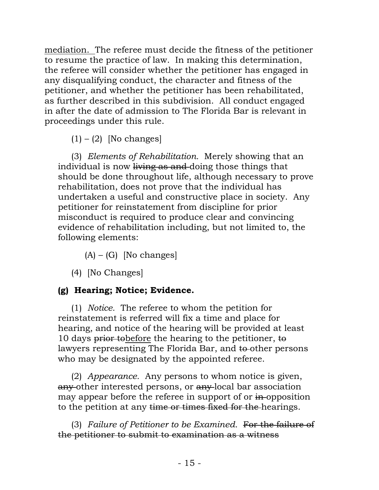mediation. The referee must decide the fitness of the petitioner to resume the practice of law. In making this determination, the referee will consider whether the petitioner has engaged in any disqualifying conduct, the character and fitness of the petitioner, and whether the petitioner has been rehabilitated, as further described in this subdivision. All conduct engaged in after the date of admission to The Florida Bar is relevant in proceedings under this rule.

 $(1) - (2)$  [No changes]

(3) *Elements of Rehabilitation.* Merely showing that an individual is now living as and-doing those things that should be done throughout life, although necessary to prove rehabilitation, does not prove that the individual has undertaken a useful and constructive place in society. Any petitioner for reinstatement from discipline for prior misconduct is required to produce clear and convincing evidence of rehabilitation including, but not limited to, the following elements:

 $(A) - (G)$  [No changes]

(4) [No Changes]

# **(g) Hearing; Notice; Evidence.**

(1) *Notice.* The referee to whom the petition for reinstatement is referred will fix a time and place for hearing, and notice of the hearing will be provided at least 10 days prior to before the hearing to the petitioner, to lawyers representing The Florida Bar, and to-other persons who may be designated by the appointed referee.

(2) *Appearance.* Any persons to whom notice is given, any other interested persons, or any local bar association may appear before the referee in support of or in-opposition to the petition at any time or times fixed for the hearings.

(3) *Failure of Petitioner to be Examined.* For the failure of the petitioner to submit to examination as a witness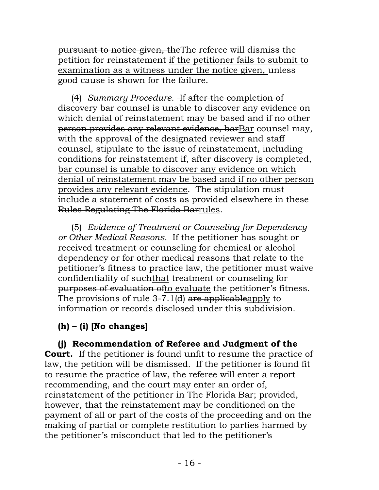pursuant to notice given, theThe referee will dismiss the petition for reinstatement if the petitioner fails to submit to examination as a witness under the notice given, unless good cause is shown for the failure.

(4) *Summary Procedure.* If after the completion of discovery bar counsel is unable to discover any evidence on which denial of reinstatement may be based and if no other person provides any relevant evidence, barBar counsel may, with the approval of the designated reviewer and staff counsel, stipulate to the issue of reinstatement, including conditions for reinstatement if, after discovery is completed, bar counsel is unable to discover any evidence on which denial of reinstatement may be based and if no other person provides any relevant evidence. The stipulation must include a statement of costs as provided elsewhere in these Rules Regulating The Florida Barrules.

(5) *Evidence of Treatment or Counseling for Dependency or Other Medical Reasons.* If the petitioner has sought or received treatment or counseling for chemical or alcohol dependency or for other medical reasons that relate to the petitioner's fitness to practice law, the petitioner must waive confidentiality of such that treatment or counseling for purposes of evaluation ofto evaluate the petitioner's fitness. The provisions of rule 3-7.1(d) are applicableapply to information or records disclosed under this subdivision.

# **(h) – (i) [No changes]**

**(j) Recommendation of Referee and Judgment of the Court.** If the petitioner is found unfit to resume the practice of law, the petition will be dismissed. If the petitioner is found fit to resume the practice of law, the referee will enter a report recommending, and the court may enter an order of, reinstatement of the petitioner in The Florida Bar; provided, however, that the reinstatement may be conditioned on the payment of all or part of the costs of the proceeding and on the making of partial or complete restitution to parties harmed by the petitioner's misconduct that led to the petitioner's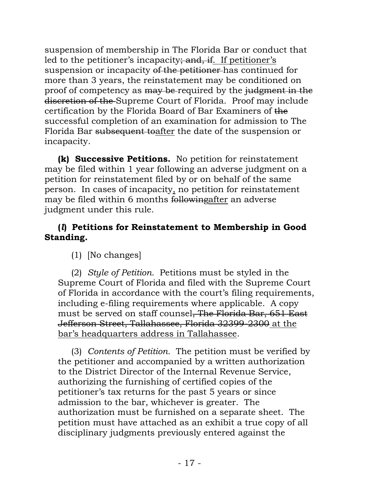suspension of membership in The Florida Bar or conduct that led to the petitioner's incapacity; and, if. If petitioner's suspension or incapacity of the petitioner has continued for more than 3 years, the reinstatement may be conditioned on proof of competency as may be required by the judgment in the discretion of the Supreme Court of Florida. Proof may include certification by the Florida Board of Bar Examiners of the successful completion of an examination for admission to The Florida Bar subsequent toafter the date of the suspension or incapacity.

**(k) Successive Petitions.** No petition for reinstatement may be filed within 1 year following an adverse judgment on a petition for reinstatement filed by or on behalf of the same person. In cases of incapacity, no petition for reinstatement may be filed within 6 months followingafter an adverse judgment under this rule.

#### **(***l***) Petitions for Reinstatement to Membership in Good Standing.**

(1) [No changes]

(2) *Style of Petition.* Petitions must be styled in the Supreme Court of Florida and filed with the Supreme Court of Florida in accordance with the court's filing requirements, including e-filing requirements where applicable. A copy must be served on staff counsel, The Florida Bar, 651 East Jefferson Street, Tallahassee, Florida 32399-2300 at the bar's headquarters address in Tallahassee.

(3) *Contents of Petition.* The petition must be verified by the petitioner and accompanied by a written authorization to the District Director of the Internal Revenue Service, authorizing the furnishing of certified copies of the petitioner's tax returns for the past 5 years or since admission to the bar, whichever is greater. The authorization must be furnished on a separate sheet. The petition must have attached as an exhibit a true copy of all disciplinary judgments previously entered against the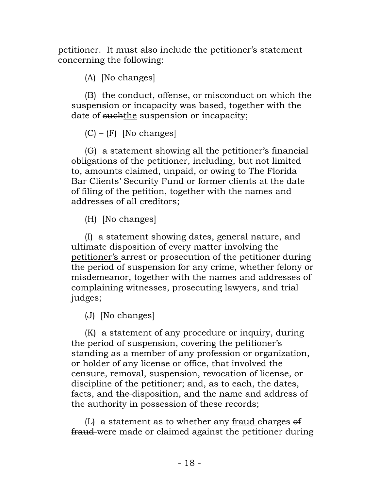petitioner. It must also include the petitioner's statement concerning the following:

(A) [No changes]

(B) the conduct, offense, or misconduct on which the suspension or incapacity was based, together with the date of such the suspension or incapacity;

 $(C) - (F)$  [No changes]

(G) a statement showing all the petitioner's financial obligations of the petitioner, including, but not limited to, amounts claimed, unpaid, or owing to The Florida Bar Clients' Security Fund or former clients at the date of filing of the petition, together with the names and addresses of all creditors;

(H) [No changes]

(I) a statement showing dates, general nature, and ultimate disposition of every matter involving the petitioner's arrest or prosecution of the petitioner during the period of suspension for any crime, whether felony or misdemeanor, together with the names and addresses of complaining witnesses, prosecuting lawyers, and trial judges;

(J) [No changes]

(K) a statement of any procedure or inquiry, during the period of suspension, covering the petitioner's standing as a member of any profession or organization, or holder of any license or office, that involved the censure, removal, suspension, revocation of license, or discipline of the petitioner; and, as to each, the dates, facts, and the disposition, and the name and address of the authority in possession of these records;

(L) a statement as to whether any fraud charges of fraud were made or claimed against the petitioner during